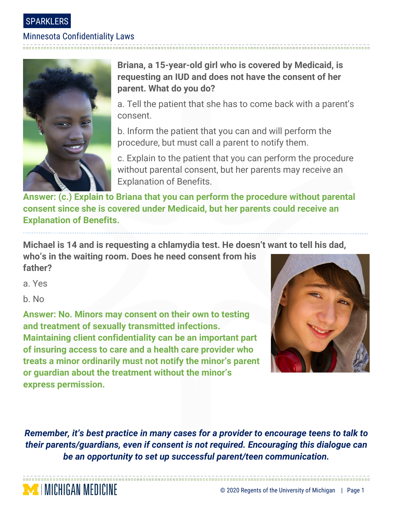#### SPARKLERS

## Minnesota Confidentiality Laws



**Briana, a 15-year-old girl who is covered by Medicaid, is requesting an IUD and does not have the consent of her parent. What do you do?**

a. Tell the patient that she has to come back with a parent's consent.

b. Inform the patient that you can and will perform the procedure, but must call a parent to notify them.

c. Explain to the patient that you can perform the procedure without parental consent, but her parents may receive an Explanation of Benefits.

**Answer: (c.) Explain to Briana that you can perform the procedure without parental consent since she is covered under Medicaid, but her parents could receive an Explanation of Benefits.** 

**Michael is 14 and is requesting a chlamydia test. He doesn't want to tell his dad,** 

**who's in the waiting room. Does he need consent from his father?**

a. Yes

b. No

MICHIGAN MEDICINE

**Answer: No. Minors may consent on their own to testing and treatment of sexually transmitted infections. Maintaining client confidentiality can be an important part of insuring access to care and a health care provider who treats a minor ordinarily must not notify the minor's parent or guardian about the treatment without the minor's express permission.**



*Remember, it's best practice in many cases for a provider to encourage teens to talk to their parents/guardians, even if consent is not required. Encouraging this dialogue can be an opportunity to set up successful parent/teen communication.*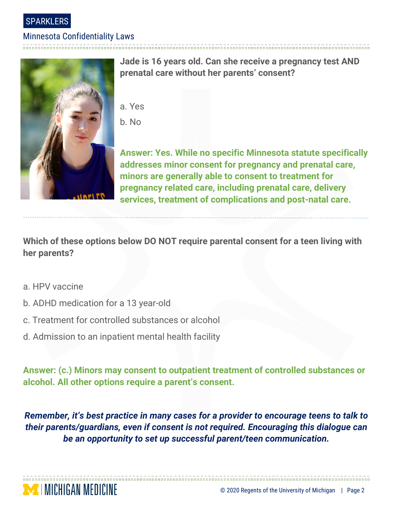SPARKLERS

#### Minnesota Confidentiality Laws



**Jade is 16 years old. Can she receive a pregnancy test AND prenatal care without her parents' consent?**

- a. Yes
- b. No

**Answer: Yes. While no specific Minnesota statute specifically addresses minor consent for pregnancy and prenatal care, minors are generally able to consent to treatment for pregnancy related care, including prenatal care, delivery services, treatment of complications and post-natal care.**

**Which of these options below DO NOT require parental consent for a teen living with her parents?**

- a. HPV vaccine
- b. ADHD medication for a 13 year-old
- c. Treatment for controlled substances or alcohol
- d. Admission to an inpatient mental health facility

**Answer: (c.) Minors may consent to outpatient treatment of controlled substances or alcohol. All other options require a parent's consent.** 

*Remember, it's best practice in many cases for a provider to encourage teens to talk to their parents/guardians, even if consent is not required. Encouraging this dialogue can be an opportunity to set up successful parent/teen communication.*